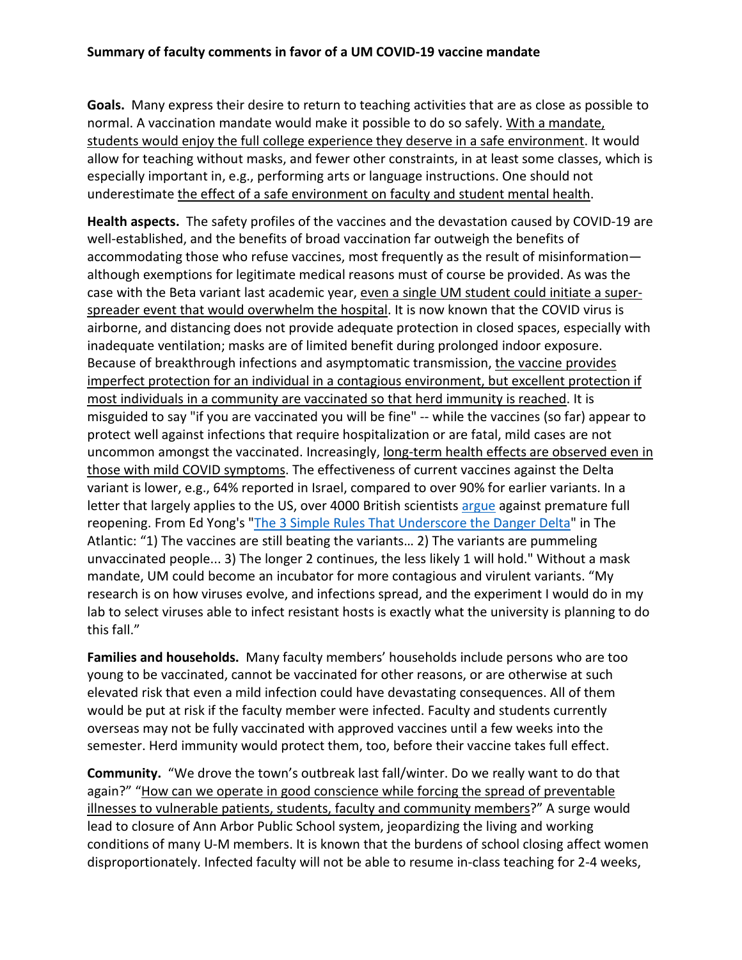**Goals.** Many express their desire to return to teaching activities that are as close as possible to normal. A vaccination mandate would make it possible to do so safely. With a mandate, students would enjoy the full college experience they deserve in a safe environment. It would allow for teaching without masks, and fewer other constraints, in at least some classes, which is especially important in, e.g., performing arts or language instructions. One should not underestimate the effect of a safe environment on faculty and student mental health.

**Health aspects.** The safety profiles of the vaccines and the devastation caused by COVID-19 are well-established, and the benefits of broad vaccination far outweigh the benefits of accommodating those who refuse vaccines, most frequently as the result of misinformation although exemptions for legitimate medical reasons must of course be provided. As was the case with the Beta variant last academic year, even a single UM student could initiate a superspreader event that would overwhelm the hospital. It is now known that the COVID virus is airborne, and distancing does not provide adequate protection in closed spaces, especially with inadequate ventilation; masks are of limited benefit during prolonged indoor exposure. Because of breakthrough infections and asymptomatic transmission, the vaccine provides imperfect protection for an individual in a contagious environment, but excellent protection if most individuals in a community are vaccinated so that herd immunity is reached. It is misguided to say "if you are vaccinated you will be fine" -- while the vaccines (so far) appear to protect well against infections that require hospitalization or are fatal, mild cases are not uncommon amongst the vaccinated. Increasingly, long-term health effects are observed even in those with mild COVID symptoms. The effectiveness of current vaccines against the Delta variant is lower, e.g., 64% reported in Israel, compared to over 90% for earlier variants. In a letter that largely applies to the US, over 4000 British scientists [argue](https://www.cnn.com/2021/07/07/health/uk-opening-scientist-letter/index.html) against premature full reopening. From Ed Yong's ["The 3 Simple Rules That Underscore the Danger Delta"](https://www.theatlantic.com/health/archive/2021/07/3-principles-now-define-pandemic/619336/) in The Atlantic: "1) The vaccines are still beating the variants… 2) The variants are pummeling unvaccinated people... 3) The longer 2 continues, the less likely 1 will hold." Without a mask mandate, UM could become an incubator for more contagious and virulent variants. "My research is on how viruses evolve, and infections spread, and the experiment I would do in my lab to select viruses able to infect resistant hosts is exactly what the university is planning to do this fall."

**Families and households.** Many faculty members' households include persons who are too young to be vaccinated, cannot be vaccinated for other reasons, or are otherwise at such elevated risk that even a mild infection could have devastating consequences. All of them would be put at risk if the faculty member were infected. Faculty and students currently overseas may not be fully vaccinated with approved vaccines until a few weeks into the semester. Herd immunity would protect them, too, before their vaccine takes full effect.

**Community.** "We drove the town's outbreak last fall/winter. Do we really want to do that again?" "How can we operate in good conscience while forcing the spread of preventable illnesses to vulnerable patients, students, faculty and community members?" A surge would lead to closure of Ann Arbor Public School system, jeopardizing the living and working conditions of many U-M members. It is known that the burdens of school closing affect women disproportionately. Infected faculty will not be able to resume in-class teaching for 2-4 weeks,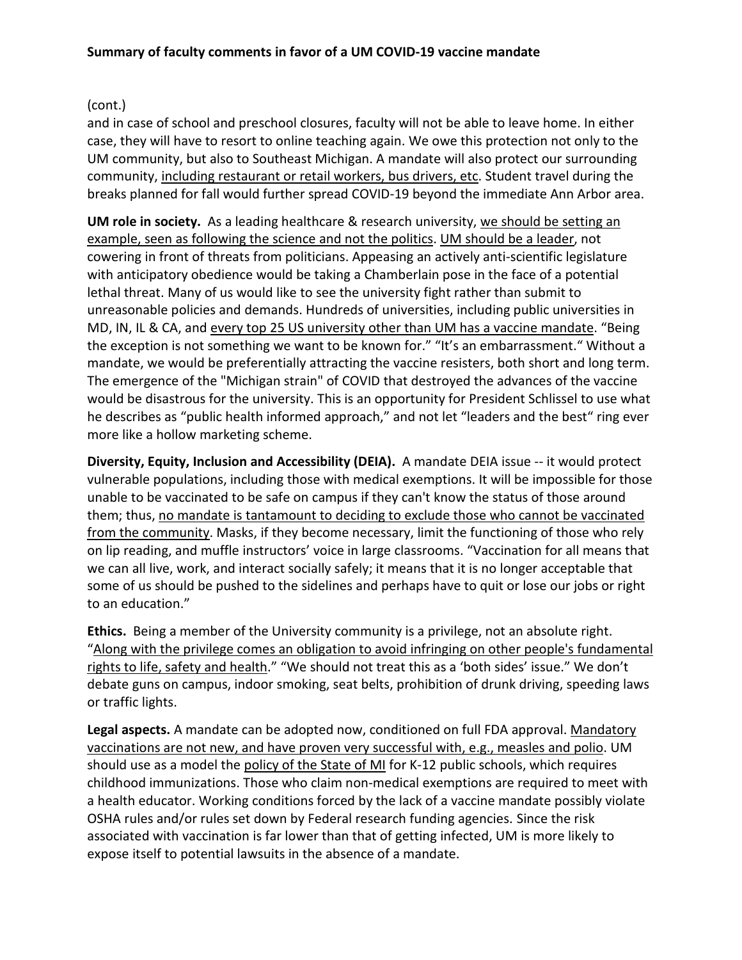# (cont.)

and in case of school and preschool closures, faculty will not be able to leave home. In either case, they will have to resort to online teaching again. We owe this protection not only to the UM community, but also to Southeast Michigan. A mandate will also protect our surrounding community, including restaurant or retail workers, bus drivers, etc. Student travel during the breaks planned for fall would further spread COVID-19 beyond the immediate Ann Arbor area.

**UM role in society.** As a leading healthcare & research university, we should be setting an example, seen as following the science and not the politics. UM should be a leader, not cowering in front of threats from politicians. Appeasing an actively anti-scientific legislature with anticipatory obedience would be taking a Chamberlain pose in the face of a potential lethal threat. Many of us would like to see the university fight rather than submit to unreasonable policies and demands. Hundreds of universities, including public universities in MD, IN, IL & CA, and every top 25 US university other than UM has a vaccine mandate. "Being the exception is not something we want to be known for." "It's an embarrassment." Without a mandate, we would be preferentially attracting the vaccine resisters, both short and long term. The emergence of the "Michigan strain" of COVID that destroyed the advances of the vaccine would be disastrous for the university. This is an opportunity for President Schlissel to use what he describes as "public health informed approach," and not let "leaders and the best" ring ever more like a hollow marketing scheme.

**Diversity, Equity, Inclusion and Accessibility (DEIA).** A mandate DEIA issue -- it would protect vulnerable populations, including those with medical exemptions. It will be impossible for those unable to be vaccinated to be safe on campus if they can't know the status of those around them; thus, no mandate is tantamount to deciding to exclude those who cannot be vaccinated from the community. Masks, if they become necessary, limit the functioning of those who rely on lip reading, and muffle instructors' voice in large classrooms. "Vaccination for all means that we can all live, work, and interact socially safely; it means that it is no longer acceptable that some of us should be pushed to the sidelines and perhaps have to quit or lose our jobs or right to an education."

**Ethics.** Being a member of the University community is a privilege, not an absolute right. "Along with the privilege comes an obligation to avoid infringing on other people's fundamental rights to life, safety and health." "We should not treat this as a 'both sides' issue." We don't debate guns on campus, indoor smoking, seat belts, prohibition of drunk driving, speeding laws or traffic lights.

**Legal aspects.** A mandate can be adopted now, conditioned on full FDA approval. Mandatory vaccinations are not new, and have proven very successful with, e.g., measles and polio. UM should use as a model the policy of the State of MI for K-12 public schools, which requires childhood immunizations. Those who claim non-medical exemptions are required to meet with a health educator. Working conditions forced by the lack of a vaccine mandate possibly violate OSHA rules and/or rules set down by Federal research funding agencies. Since the risk associated with vaccination is far lower than that of getting infected, UM is more likely to expose itself to potential lawsuits in the absence of a mandate.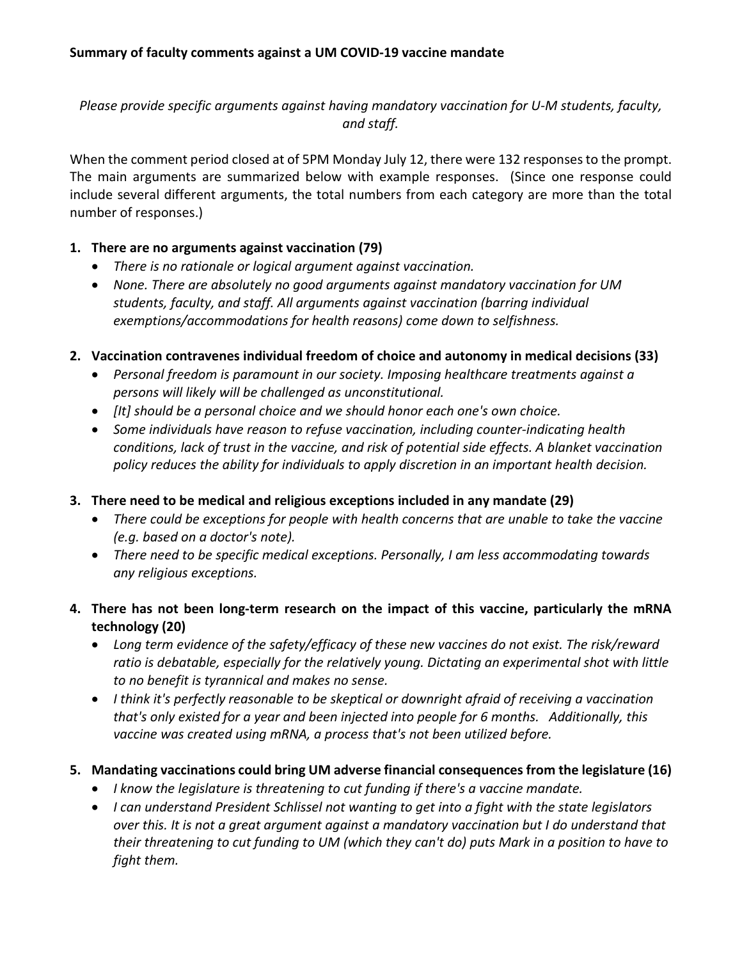*Please provide specific arguments against having mandatory vaccination for U-M students, faculty, and staff.*

When the comment period closed at of 5PM Monday July 12, there were 132 responses to the prompt. The main arguments are summarized below with example responses. (Since one response could include several different arguments, the total numbers from each category are more than the total number of responses.)

## **1. There are no arguments against vaccination (79)**

- *There is no rationale or logical argument against vaccination.*
- *None. There are absolutely no good arguments against mandatory vaccination for UM students, faculty, and staff. All arguments against vaccination (barring individual exemptions/accommodations for health reasons) come down to selfishness.*
- **2. Vaccination contravenes individual freedom of choice and autonomy in medical decisions (33)**
	- *Personal freedom is paramount in our society. Imposing healthcare treatments against a persons will likely will be challenged as unconstitutional.*
	- *[It] should be a personal choice and we should honor each one's own choice.*
	- *Some individuals have reason to refuse vaccination, including counter-indicating health conditions, lack of trust in the vaccine, and risk of potential side effects. A blanket vaccination policy reduces the ability for individuals to apply discretion in an important health decision.*

### **3. There need to be medical and religious exceptions included in any mandate (29)**

- *There could be exceptions for people with health concerns that are unable to take the vaccine (e.g. based on a doctor's note).*
- *There need to be specific medical exceptions. Personally, I am less accommodating towards any religious exceptions.*

## **4. There has not been long-term research on the impact of this vaccine, particularly the mRNA technology (20)**

- *Long term evidence of the safety/efficacy of these new vaccines do not exist. The risk/reward ratio is debatable, especially for the relatively young. Dictating an experimental shot with little to no benefit is tyrannical and makes no sense.*
- *I think it's perfectly reasonable to be skeptical or downright afraid of receiving a vaccination that's only existed for a year and been injected into people for 6 months. Additionally, this vaccine was created using mRNA, a process that's not been utilized before.*

### **5. Mandating vaccinations could bring UM adverse financial consequences from the legislature (16)**

- *I know the legislature is threatening to cut funding if there's a vaccine mandate.*
- *I can understand President Schlissel not wanting to get into a fight with the state legislators over this. It is not a great argument against a mandatory vaccination but I do understand that their threatening to cut funding to UM (which they can't do) puts Mark in a position to have to fight them.*